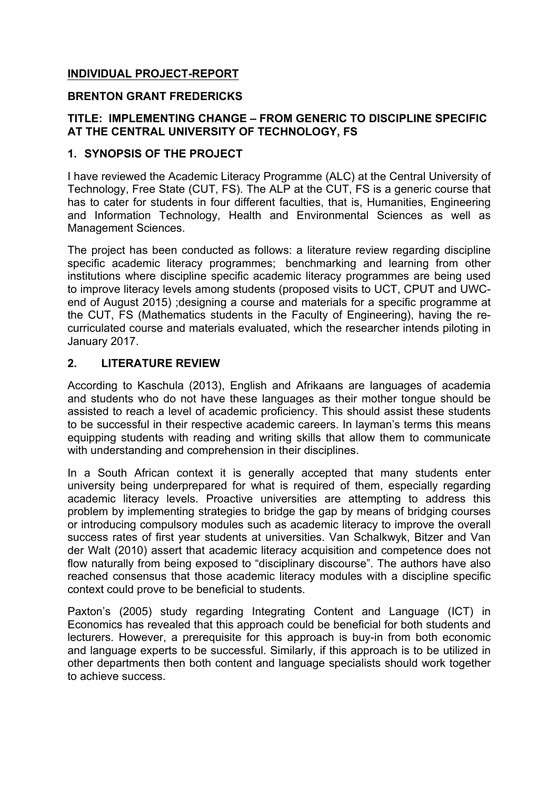# **INDIVIDUAL PROJECT-REPORT**

#### **BRENTON GRANT FREDERICKS**

#### **TITLE: IMPLEMENTING CHANGE – FROM GENERIC TO DISCIPLINE SPECIFIC AT THE CENTRAL UNIVERSITY OF TECHNOLOGY, FS**

#### **1. SYNOPSIS OF THE PROJECT**

I have reviewed the Academic Literacy Programme (ALC) at the Central University of Technology, Free State (CUT, FS). The ALP at the CUT, FS is a generic course that has to cater for students in four different faculties, that is, Humanities, Engineering and Information Technology, Health and Environmental Sciences as well as Management Sciences.

The project has been conducted as follows: a literature review regarding discipline specific academic literacy programmes; benchmarking and learning from other institutions where discipline specific academic literacy programmes are being used to improve literacy levels among students (proposed visits to UCT, CPUT and UWCend of August 2015) ;designing a course and materials for a specific programme at the CUT, FS (Mathematics students in the Faculty of Engineering), having the recurriculated course and materials evaluated, which the researcher intends piloting in January 2017.

#### **2. LITERATURE REVIEW**

According to Kaschula (2013), English and Afrikaans are languages of academia and students who do not have these languages as their mother tongue should be assisted to reach a level of academic proficiency. This should assist these students to be successful in their respective academic careers. In layman's terms this means equipping students with reading and writing skills that allow them to communicate with understanding and comprehension in their disciplines.

In a South African context it is generally accepted that many students enter university being underprepared for what is required of them, especially regarding academic literacy levels. Proactive universities are attempting to address this problem by implementing strategies to bridge the gap by means of bridging courses or introducing compulsory modules such as academic literacy to improve the overall success rates of first year students at universities. Van Schalkwyk, Bitzer and Van der Walt (2010) assert that academic literacy acquisition and competence does not flow naturally from being exposed to "disciplinary discourse". The authors have also reached consensus that those academic literacy modules with a discipline specific context could prove to be beneficial to students.

Paxton's (2005) study regarding Integrating Content and Language (ICT) in Economics has revealed that this approach could be beneficial for both students and lecturers. However, a prerequisite for this approach is buy-in from both economic and language experts to be successful. Similarly, if this approach is to be utilized in other departments then both content and language specialists should work together to achieve success.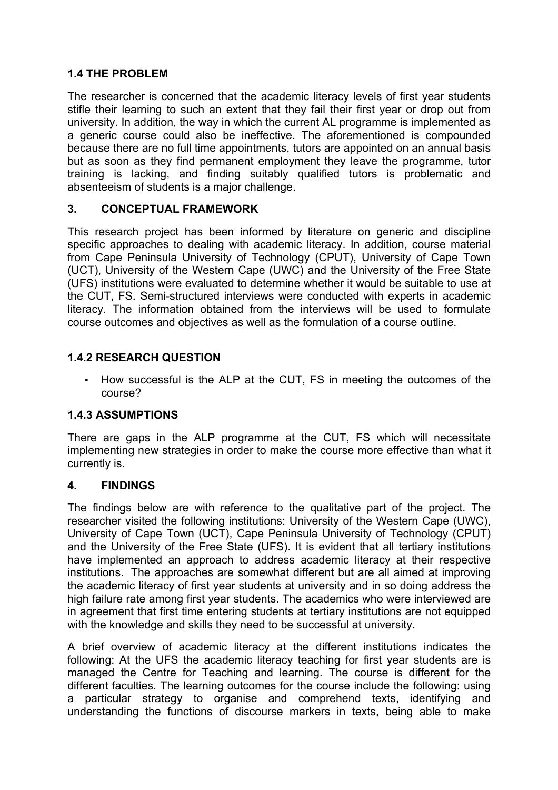# **1.4 THE PROBLEM**

The researcher is concerned that the academic literacy levels of first year students stifle their learning to such an extent that they fail their first year or drop out from university. In addition, the way in which the current AL programme is implemented as a generic course could also be ineffective. The aforementioned is compounded because there are no full time appointments, tutors are appointed on an annual basis but as soon as they find permanent employment they leave the programme, tutor training is lacking, and finding suitably qualified tutors is problematic and absenteeism of students is a major challenge.

# **3. CONCEPTUAL FRAMEWORK**

This research project has been informed by literature on generic and discipline specific approaches to dealing with academic literacy. In addition, course material from Cape Peninsula University of Technology (CPUT), University of Cape Town (UCT), University of the Western Cape (UWC) and the University of the Free State (UFS) institutions were evaluated to determine whether it would be suitable to use at the CUT, FS. Semi-structured interviews were conducted with experts in academic literacy. The information obtained from the interviews will be used to formulate course outcomes and objectives as well as the formulation of a course outline.

# **1.4.2 RESEARCH QUESTION**

• How successful is the ALP at the CUT, FS in meeting the outcomes of the course?

# **1.4.3 ASSUMPTIONS**

There are gaps in the ALP programme at the CUT, FS which will necessitate implementing new strategies in order to make the course more effective than what it currently is.

# **4. FINDINGS**

The findings below are with reference to the qualitative part of the project. The researcher visited the following institutions: University of the Western Cape (UWC), University of Cape Town (UCT), Cape Peninsula University of Technology (CPUT) and the University of the Free State (UFS). It is evident that all tertiary institutions have implemented an approach to address academic literacy at their respective institutions. The approaches are somewhat different but are all aimed at improving the academic literacy of first year students at university and in so doing address the high failure rate among first year students. The academics who were interviewed are in agreement that first time entering students at tertiary institutions are not equipped with the knowledge and skills they need to be successful at university.

A brief overview of academic literacy at the different institutions indicates the following: At the UFS the academic literacy teaching for first year students are is managed the Centre for Teaching and learning. The course is different for the different faculties. The learning outcomes for the course include the following: using a particular strategy to organise and comprehend texts, identifying and understanding the functions of discourse markers in texts, being able to make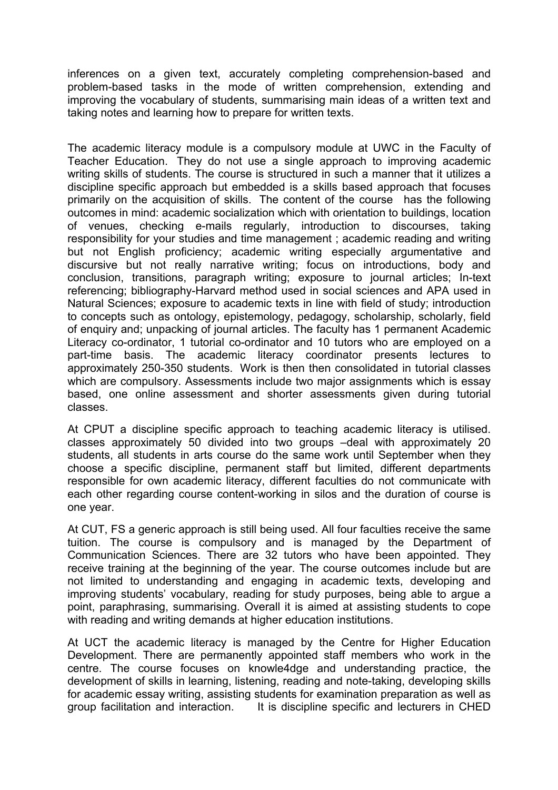inferences on a given text, accurately completing comprehension-based and problem-based tasks in the mode of written comprehension, extending and improving the vocabulary of students, summarising main ideas of a written text and taking notes and learning how to prepare for written texts.

The academic literacy module is a compulsory module at UWC in the Faculty of Teacher Education. They do not use a single approach to improving academic writing skills of students. The course is structured in such a manner that it utilizes a discipline specific approach but embedded is a skills based approach that focuses primarily on the acquisition of skills. The content of the course has the following outcomes in mind: academic socialization which with orientation to buildings, location of venues, checking e-mails regularly, introduction to discourses, taking responsibility for your studies and time management ; academic reading and writing but not English proficiency; academic writing especially argumentative and discursive but not really narrative writing; focus on introductions, body and conclusion, transitions, paragraph writing; exposure to journal articles; In-text referencing; bibliography-Harvard method used in social sciences and APA used in Natural Sciences; exposure to academic texts in line with field of study; introduction to concepts such as ontology, epistemology, pedagogy, scholarship, scholarly, field of enquiry and; unpacking of journal articles. The faculty has 1 permanent Academic Literacy co-ordinator, 1 tutorial co-ordinator and 10 tutors who are employed on a part-time basis. The academic literacy coordinator presents lectures to approximately 250-350 students. Work is then then consolidated in tutorial classes which are compulsory. Assessments include two major assignments which is essay based, one online assessment and shorter assessments given during tutorial classes.

At CPUT a discipline specific approach to teaching academic literacy is utilised. classes approximately 50 divided into two groups –deal with approximately 20 students, all students in arts course do the same work until September when they choose a specific discipline, permanent staff but limited, different departments responsible for own academic literacy, different faculties do not communicate with each other regarding course content-working in silos and the duration of course is one year.

At CUT, FS a generic approach is still being used. All four faculties receive the same tuition. The course is compulsory and is managed by the Department of Communication Sciences. There are 32 tutors who have been appointed. They receive training at the beginning of the year. The course outcomes include but are not limited to understanding and engaging in academic texts, developing and improving students' vocabulary, reading for study purposes, being able to argue a point, paraphrasing, summarising. Overall it is aimed at assisting students to cope with reading and writing demands at higher education institutions.

At UCT the academic literacy is managed by the Centre for Higher Education Development. There are permanently appointed staff members who work in the centre. The course focuses on knowle4dge and understanding practice, the development of skills in learning, listening, reading and note-taking, developing skills for academic essay writing, assisting students for examination preparation as well as group facilitation and interaction. It is discipline specific and lecturers in CHED